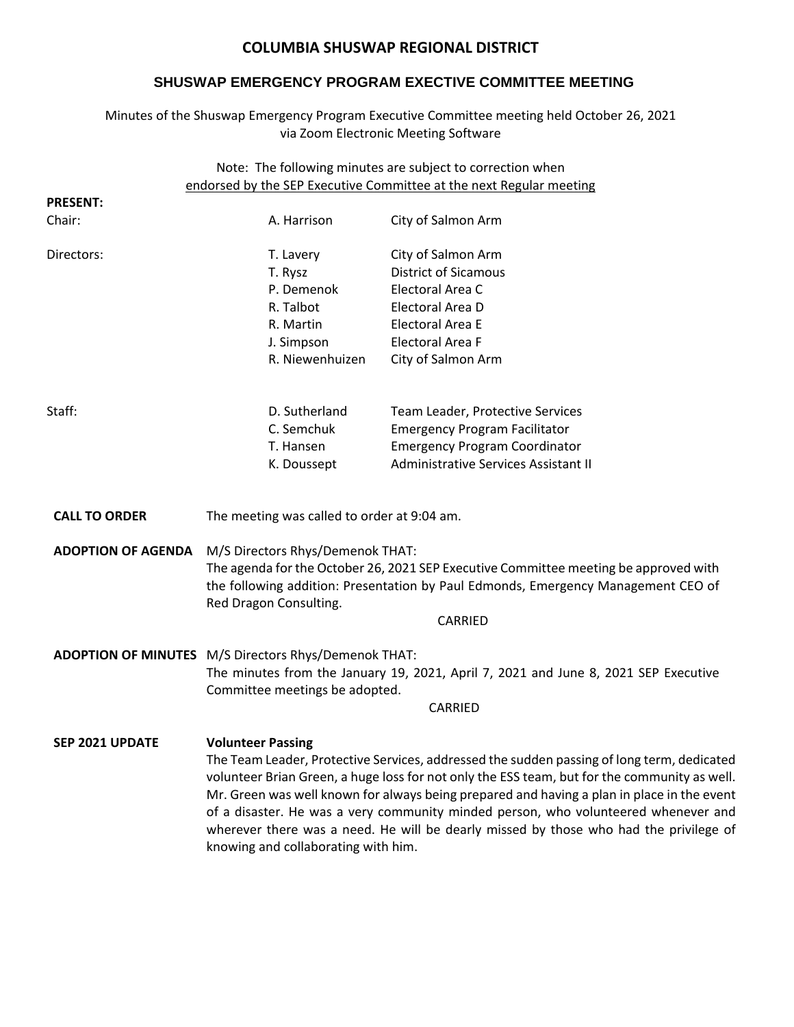# **COLUMBIA SHUSWAP REGIONAL DISTRICT**

# **SHUSWAP EMERGENCY PROGRAM EXECTIVE COMMITTEE MEETING**

Minutes of the Shuswap Emergency Program Executive Committee meeting held October 26, 2021 via Zoom Electronic Meeting Software

| Note: The following minutes are subject to correction when<br>endorsed by the SEP Executive Committee at the next Regular meeting |                                                                                                                                                                                                                                                                                                                                                                                                                                                                                                     |                                      |
|-----------------------------------------------------------------------------------------------------------------------------------|-----------------------------------------------------------------------------------------------------------------------------------------------------------------------------------------------------------------------------------------------------------------------------------------------------------------------------------------------------------------------------------------------------------------------------------------------------------------------------------------------------|--------------------------------------|
| <b>PRESENT:</b>                                                                                                                   |                                                                                                                                                                                                                                                                                                                                                                                                                                                                                                     |                                      |
| Chair:                                                                                                                            | A. Harrison                                                                                                                                                                                                                                                                                                                                                                                                                                                                                         | City of Salmon Arm                   |
| Directors:                                                                                                                        | T. Lavery                                                                                                                                                                                                                                                                                                                                                                                                                                                                                           | City of Salmon Arm                   |
|                                                                                                                                   | T. Rysz                                                                                                                                                                                                                                                                                                                                                                                                                                                                                             | <b>District of Sicamous</b>          |
|                                                                                                                                   | P. Demenok                                                                                                                                                                                                                                                                                                                                                                                                                                                                                          | Electoral Area C                     |
|                                                                                                                                   | R. Talbot                                                                                                                                                                                                                                                                                                                                                                                                                                                                                           | Electoral Area D                     |
|                                                                                                                                   | R. Martin                                                                                                                                                                                                                                                                                                                                                                                                                                                                                           | Electoral Area E                     |
|                                                                                                                                   | J. Simpson                                                                                                                                                                                                                                                                                                                                                                                                                                                                                          | Electoral Area F                     |
|                                                                                                                                   | R. Niewenhuizen                                                                                                                                                                                                                                                                                                                                                                                                                                                                                     | City of Salmon Arm                   |
| Staff:                                                                                                                            | D. Sutherland                                                                                                                                                                                                                                                                                                                                                                                                                                                                                       | Team Leader, Protective Services     |
|                                                                                                                                   | C. Semchuk                                                                                                                                                                                                                                                                                                                                                                                                                                                                                          | <b>Emergency Program Facilitator</b> |
|                                                                                                                                   | T. Hansen                                                                                                                                                                                                                                                                                                                                                                                                                                                                                           | <b>Emergency Program Coordinator</b> |
|                                                                                                                                   | K. Doussept                                                                                                                                                                                                                                                                                                                                                                                                                                                                                         | Administrative Services Assistant II |
| <b>CALL TO ORDER</b>                                                                                                              | The meeting was called to order at 9:04 am.                                                                                                                                                                                                                                                                                                                                                                                                                                                         |                                      |
| <b>ADOPTION OF AGENDA</b>                                                                                                         | M/S Directors Rhys/Demenok THAT:<br>The agenda for the October 26, 2021 SEP Executive Committee meeting be approved with<br>the following addition: Presentation by Paul Edmonds, Emergency Management CEO of<br>Red Dragon Consulting.<br>CARRIED                                                                                                                                                                                                                                                  |                                      |
|                                                                                                                                   | ADOPTION OF MINUTES M/S Directors Rhys/Demenok THAT:<br>The minutes from the January 19, 2021, April 7, 2021 and June 8, 2021 SEP Executive<br>Committee meetings be adopted.<br>CARRIED                                                                                                                                                                                                                                                                                                            |                                      |
| <b>SEP 2021 UPDATE</b>                                                                                                            | <b>Volunteer Passing</b><br>The Team Leader, Protective Services, addressed the sudden passing of long term, dedicated<br>volunteer Brian Green, a huge loss for not only the ESS team, but for the community as well.<br>Mr. Green was well known for always being prepared and having a plan in place in the event<br>of a disaster. He was a very community minded person, who volunteered whenever and<br>wherever there was a need. He will be dearly missed by those who had the privilege of |                                      |

knowing and collaborating with him.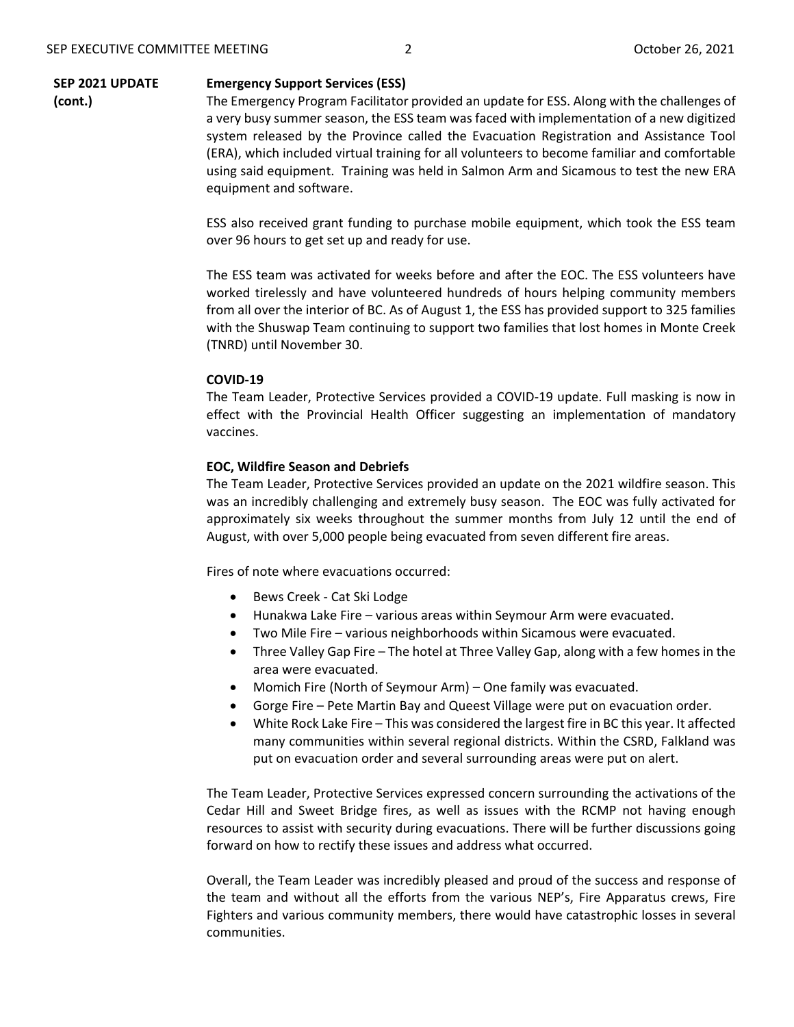#### **SEP 2021 UPDATE Emergency Support Services (ESS)**

**(cont.)**

The Emergency Program Facilitator provided an update for ESS. Along with the challenges of a very busy summer season, the ESS team was faced with implementation of a new digitized system released by the Province called the Evacuation Registration and Assistance Tool (ERA), which included virtual training for all volunteers to become familiar and comfortable using said equipment. Training was held in Salmon Arm and Sicamous to test the new ERA equipment and software.

ESS also received grant funding to purchase mobile equipment, which took the ESS team over 96 hours to get set up and ready for use.

The ESS team was activated for weeks before and after the EOC. The ESS volunteers have worked tirelessly and have volunteered hundreds of hours helping community members from all over the interior of BC. As of August 1, the ESS has provided support to 325 families with the Shuswap Team continuing to support two families that lost homes in Monte Creek (TNRD) until November 30.

## **COVID-19**

The Team Leader, Protective Services provided a COVID-19 update. Full masking is now in effect with the Provincial Health Officer suggesting an implementation of mandatory vaccines.

# **EOC, Wildfire Season and Debriefs**

The Team Leader, Protective Services provided an update on the 2021 wildfire season. This was an incredibly challenging and extremely busy season. The EOC was fully activated for approximately six weeks throughout the summer months from July 12 until the end of August, with over 5,000 people being evacuated from seven different fire areas.

Fires of note where evacuations occurred:

- Bews Creek Cat Ski Lodge
- Hunakwa Lake Fire various areas within Seymour Arm were evacuated.
- Two Mile Fire various neighborhoods within Sicamous were evacuated.
- Three Valley Gap Fire The hotel at Three Valley Gap, along with a few homes in the area were evacuated.
- Momich Fire (North of Seymour Arm) One family was evacuated.
- Gorge Fire Pete Martin Bay and Queest Village were put on evacuation order.
- White Rock Lake Fire This was considered the largest fire in BC this year. It affected many communities within several regional districts. Within the CSRD, Falkland was put on evacuation order and several surrounding areas were put on alert.

The Team Leader, Protective Services expressed concern surrounding the activations of the Cedar Hill and Sweet Bridge fires, as well as issues with the RCMP not having enough resources to assist with security during evacuations. There will be further discussions going forward on how to rectify these issues and address what occurred.

Overall, the Team Leader was incredibly pleased and proud of the success and response of the team and without all the efforts from the various NEP's, Fire Apparatus crews, Fire Fighters and various community members, there would have catastrophic losses in several communities.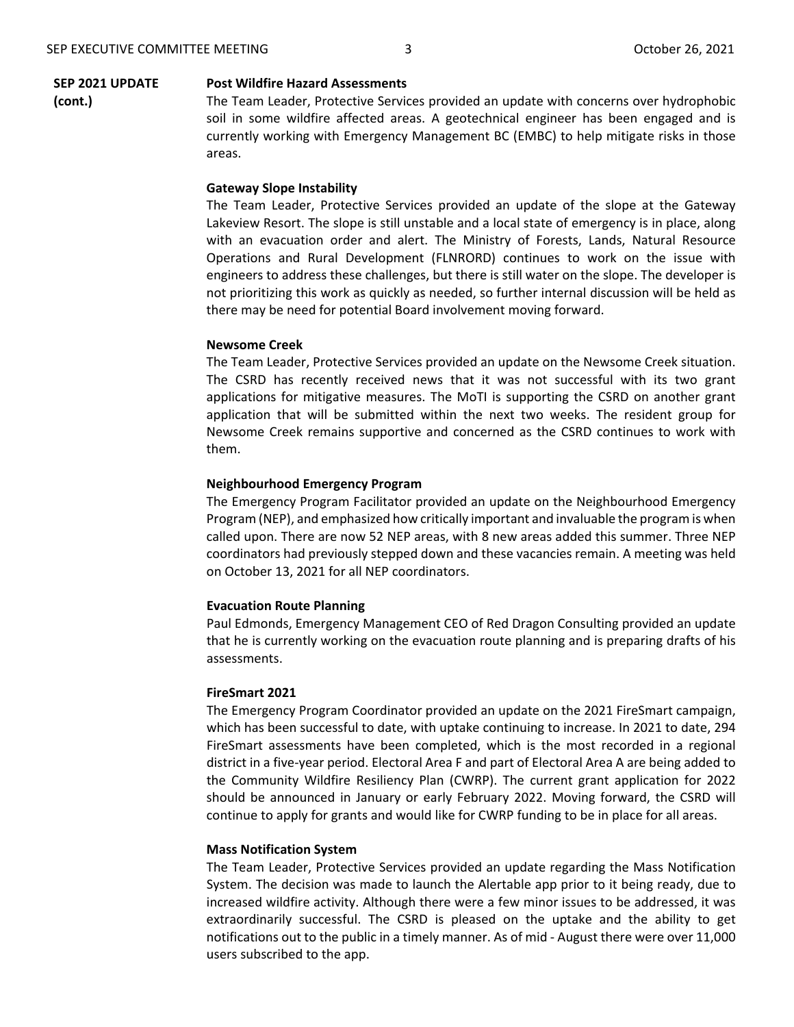**(cont.)**

#### **SEP 2021 UPDATE Post Wildfire Hazard Assessments**

areas.

The Team Leader, Protective Services provided an update with concerns over hydrophobic soil in some wildfire affected areas. A geotechnical engineer has been engaged and is currently working with Emergency Management BC (EMBC) to help mitigate risks in those

## **Gateway Slope Instability**

The Team Leader, Protective Services provided an update of the slope at the Gateway Lakeview Resort. The slope is still unstable and a local state of emergency is in place, along with an evacuation order and alert. The Ministry of Forests, Lands, Natural Resource Operations and Rural Development (FLNRORD) continues to work on the issue with engineers to address these challenges, but there is still water on the slope. The developer is not prioritizing this work as quickly as needed, so further internal discussion will be held as there may be need for potential Board involvement moving forward.

## **Newsome Creek**

The Team Leader, Protective Services provided an update on the Newsome Creek situation. The CSRD has recently received news that it was not successful with its two grant applications for mitigative measures. The MoTI is supporting the CSRD on another grant application that will be submitted within the next two weeks. The resident group for Newsome Creek remains supportive and concerned as the CSRD continues to work with them.

### **Neighbourhood Emergency Program**

The Emergency Program Facilitator provided an update on the Neighbourhood Emergency Program (NEP), and emphasized how critically important and invaluable the program is when called upon. There are now 52 NEP areas, with 8 new areas added this summer. Three NEP coordinators had previously stepped down and these vacancies remain. A meeting was held on October 13, 2021 for all NEP coordinators.

## **Evacuation Route Planning**

Paul Edmonds, Emergency Management CEO of Red Dragon Consulting provided an update that he is currently working on the evacuation route planning and is preparing drafts of his assessments.

# **FireSmart 2021**

The Emergency Program Coordinator provided an update on the 2021 FireSmart campaign, which has been successful to date, with uptake continuing to increase. In 2021 to date, 294 FireSmart assessments have been completed, which is the most recorded in a regional district in a five-year period. Electoral Area F and part of Electoral Area A are being added to the Community Wildfire Resiliency Plan (CWRP). The current grant application for 2022 should be announced in January or early February 2022. Moving forward, the CSRD will continue to apply for grants and would like for CWRP funding to be in place for all areas.

## **Mass Notification System**

The Team Leader, Protective Services provided an update regarding the Mass Notification System. The decision was made to launch the Alertable app prior to it being ready, due to increased wildfire activity. Although there were a few minor issues to be addressed, it was extraordinarily successful. The CSRD is pleased on the uptake and the ability to get notifications out to the public in a timely manner. As of mid - August there were over 11,000 users subscribed to the app.